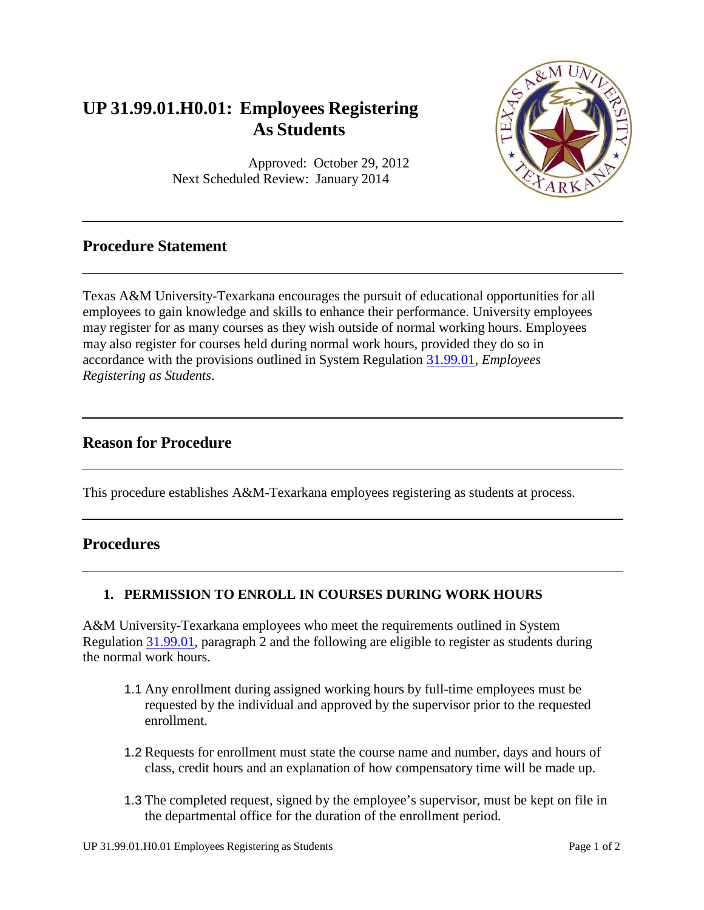# **UP 31.99.01.H0.01: Employees Registering As Students**

Approved: October 29, 2012 Next Scheduled Review: January 2014

# **Procedure Statement**

Texas A&M University-Texarkana encourages the pursuit of educational opportunities for all employees to gain knowledge and skills to enhance their performance. University employees may register for as many courses as they wish outside of normal working hours. Employees may also register for courses held during normal work hours, provided they do so in accordance with the provisions outlined in System Regulation [31.99.01,](http://policies.tamus.edu/31-99-01.pdf) *Employees Registering as Students*.

### **Reason for Procedure**

This procedure establishes A&M-Texarkana employees registering as students at process.

### **Procedures**

#### **1. PERMISSION TO ENROLL IN COURSES DURING WORK HOURS**

A&M University-Texarkana employees who meet the requirements outlined in System Regulation [31.99.01,](http://policies.tamus.edu/31-99-01.pdf) paragraph 2 and the following are eligible to register as students during the normal work hours.

- 1.1 Any enrollment during assigned working hours by full-time employees must be requested by the individual and approved by the supervisor prior to the requested enrollment.
- 1.2 Requests for enrollment must state the course name and number, days and hours of class, credit hours and an explanation of how compensatory time will be made up.
- 1.3 The completed request, signed by the employee's supervisor, must be kept on file in the departmental office for the duration of the enrollment period.